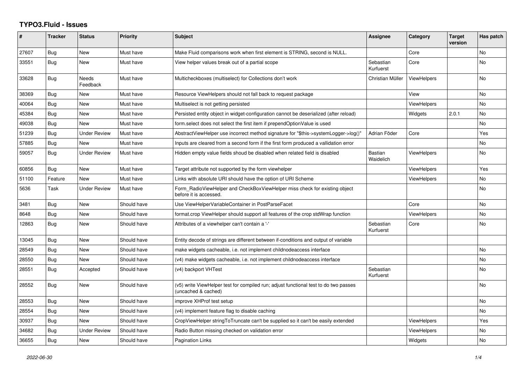## **TYPO3.Fluid - Issues**

| #     | <b>Tracker</b> | <b>Status</b>       | <b>Priority</b> | <b>Subject</b>                                                                                              | Assignee               | Category           | <b>Target</b><br>version | Has patch      |
|-------|----------------|---------------------|-----------------|-------------------------------------------------------------------------------------------------------------|------------------------|--------------------|--------------------------|----------------|
| 27607 | Bug            | <b>New</b>          | Must have       | Make Fluid comparisons work when first element is STRING, second is NULL.                                   |                        | Core               |                          | <b>No</b>      |
| 33551 | Bug            | New                 | Must have       | View helper values break out of a partial scope                                                             | Sebastian<br>Kurfuerst | Core               |                          | No             |
| 33628 | <b>Bug</b>     | Needs<br>Feedback   | Must have       | Multicheckboxes (multiselect) for Collections don't work                                                    | Christian Müller       | ViewHelpers        |                          | <b>No</b>      |
| 38369 | <b>Bug</b>     | New                 | Must have       | Resource ViewHelpers should not fall back to request package                                                |                        | View               |                          | No             |
| 40064 | Bug            | New                 | Must have       | Multiselect is not getting persisted                                                                        |                        | <b>ViewHelpers</b> |                          | <b>No</b>      |
| 45384 | <b>Bug</b>     | New                 | Must have       | Persisted entity object in widget-configuration cannot be deserialized (after reload)                       |                        | Widgets            | 2.0.1                    | <b>No</b>      |
| 49038 | Bug            | New                 | Must have       | form select does not select the first item if prependOptionValue is used                                    |                        |                    |                          | No             |
| 51239 | Bug            | Under Review        | Must have       | AbstractViewHelper use incorrect method signature for "\$this->systemLogger->log()"                         | Adrian Föder           | Core               |                          | Yes            |
| 57885 | Bug            | New                 | Must have       | Inputs are cleared from a second form if the first form produced a vallidation error                        |                        |                    |                          | No             |
| 59057 | Bug            | <b>Under Review</b> | Must have       | Hidden empty value fields shoud be disabled when related field is disabled                                  | Bastian<br>Waidelich   | <b>ViewHelpers</b> |                          | No             |
| 60856 | Bug            | <b>New</b>          | Must have       | Target attribute not supported by the form viewhelper                                                       |                        | <b>ViewHelpers</b> |                          | Yes            |
| 51100 | Feature        | New                 | Must have       | Links with absolute URI should have the option of URI Scheme                                                |                        | <b>ViewHelpers</b> |                          | No             |
| 5636  | Task           | <b>Under Review</b> | Must have       | Form RadioViewHelper and CheckBoxViewHelper miss check for existing object<br>before it is accessed.        |                        |                    |                          | <b>No</b>      |
| 3481  | <b>Bug</b>     | New                 | Should have     | Use ViewHelperVariableContainer in PostParseFacet                                                           |                        | Core               |                          | N <sub>o</sub> |
| 8648  | Bug            | New                 | Should have     | format.crop ViewHelper should support all features of the crop stdWrap function                             |                        | <b>ViewHelpers</b> |                          | No             |
| 12863 | Bug            | <b>New</b>          | Should have     | Attributes of a viewhelper can't contain a '-'                                                              | Sebastian<br>Kurfuerst | Core               |                          | <b>No</b>      |
| 13045 | Bug            | New                 | Should have     | Entity decode of strings are different between if-conditions and output of variable                         |                        |                    |                          |                |
| 28549 | <b>Bug</b>     | New                 | Should have     | make widgets cacheable, i.e. not implement childnodeaccess interface                                        |                        |                    |                          | <b>No</b>      |
| 28550 | <b>Bug</b>     | New                 | Should have     | (v4) make widgets cacheable, i.e. not implement childnodeaccess interface                                   |                        |                    |                          | <b>No</b>      |
| 28551 | <b>Bug</b>     | Accepted            | Should have     | (v4) backport VHTest                                                                                        | Sebastian<br>Kurfuerst |                    |                          | No             |
| 28552 | Bug            | New                 | Should have     | (v5) write ViewHelper test for compiled run; adjust functional test to do two passes<br>(uncached & cached) |                        |                    |                          | <b>No</b>      |
| 28553 | Bug            | New                 | Should have     | improve XHProf test setup                                                                                   |                        |                    |                          | <b>No</b>      |
| 28554 | Bug            | New                 | Should have     | (v4) implement feature flag to disable caching                                                              |                        |                    |                          | No.            |
| 30937 | Bug            | New                 | Should have     | CropViewHelper stringToTruncate can't be supplied so it can't be easily extended                            |                        | <b>ViewHelpers</b> |                          | Yes            |
| 34682 | Bug            | Under Review        | Should have     | Radio Button missing checked on validation error                                                            |                        | <b>ViewHelpers</b> |                          | <b>No</b>      |
| 36655 | <b>Bug</b>     | <b>New</b>          | Should have     | <b>Pagination Links</b>                                                                                     |                        | Widgets            |                          | No             |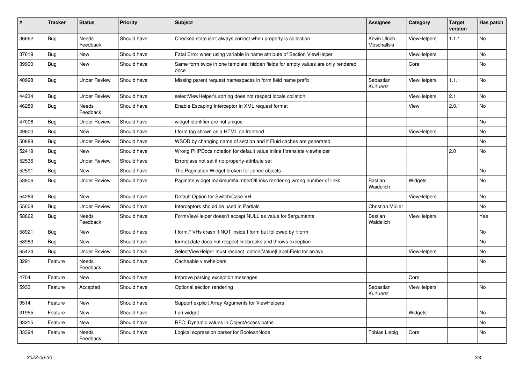| #     | <b>Tracker</b> | <b>Status</b>            | <b>Priority</b> | <b>Subject</b>                                                                            | Assignee                    | Category           | <b>Target</b><br>version | Has patch |
|-------|----------------|--------------------------|-----------------|-------------------------------------------------------------------------------------------|-----------------------------|--------------------|--------------------------|-----------|
| 36662 | Bug            | <b>Needs</b><br>Feedback | Should have     | Checked state isn't always correct when property is collection                            | Kevin Ulrich<br>Moschallski | ViewHelpers        | 1.1.1                    | <b>No</b> |
| 37619 | Bug            | <b>New</b>               | Should have     | Fatal Error when using variable in name attribute of Section ViewHelper                   |                             | <b>ViewHelpers</b> |                          | No        |
| 39990 | Bug            | <b>New</b>               | Should have     | Same form twice in one template: hidden fields for empty values are only rendered<br>once |                             | Core               |                          | <b>No</b> |
| 40998 | <b>Bug</b>     | <b>Under Review</b>      | Should have     | Missing parent request namespaces in form field name prefix                               | Sebastian<br>Kurfuerst      | <b>ViewHelpers</b> | 1.1.1                    | No        |
| 44234 | Bug            | Under Review             | Should have     | selectViewHelper's sorting does not respect locale collation                              |                             | <b>ViewHelpers</b> | 2.1                      | No.       |
| 46289 | Bug            | Needs<br>Feedback        | Should have     | Enable Escaping Interceptor in XML request format                                         |                             | View               | 2.0.1                    | No        |
| 47006 | Bug            | Under Review             | Should have     | widget identifier are not unique                                                          |                             |                    |                          | No        |
| 49600 | Bug            | <b>New</b>               | Should have     | f:form tag shown as a HTML on frontend                                                    |                             | ViewHelpers        |                          | No        |
| 50888 | Bug            | <b>Under Review</b>      | Should have     | WSOD by changing name of section and if Fluid caches are generated                        |                             |                    |                          | <b>No</b> |
| 52419 | <b>Bug</b>     | <b>New</b>               | Should have     | Wrong PHPDocs notation for default value inline f:translate viewhelper                    |                             |                    | 2.0                      | <b>No</b> |
| 52536 | <b>Bug</b>     | <b>Under Review</b>      | Should have     | Errorclass not set if no property-attribute set                                           |                             |                    |                          |           |
| 52591 | <b>Bug</b>     | <b>New</b>               | Should have     | The Pagination Widget broken for joined objects                                           |                             |                    |                          | No        |
| 53806 | <b>Bug</b>     | <b>Under Review</b>      | Should have     | Paginate widget maximumNumberOfLinks rendering wrong number of links                      | Bastian<br>Waidelich        | Widgets            |                          | No        |
| 54284 | Bug            | New                      | Should have     | Default Option for Switch/Case VH                                                         |                             | ViewHelpers        |                          | No        |
| 55008 | Bug            | <b>Under Review</b>      | Should have     | Interceptors should be used in Partials                                                   | Christian Müller            |                    |                          | No        |
| 58862 | <b>Bug</b>     | <b>Needs</b><br>Feedback | Should have     | FormViewHelper doesn't accept NULL as value for \$arguments                               | Bastian<br>Waidelich        | ViewHelpers        |                          | Yes       |
| 58921 | Bug            | New                      | Should have     | f:form.* VHs crash if NOT inside f:form but followed by f:form                            |                             |                    |                          | No        |
| 58983 | Bug            | New                      | Should have     | format.date does not respect linebreaks and throws exception                              |                             |                    |                          | No        |
| 65424 | Bug            | <b>Under Review</b>      | Should have     | SelectViewHelper must respect option(Value Label)Field for arrays                         |                             | <b>ViewHelpers</b> |                          | No        |
| 3291  | Feature        | <b>Needs</b><br>Feedback | Should have     | Cacheable viewhelpers                                                                     |                             |                    |                          | No        |
| 4704  | Feature        | <b>New</b>               | Should have     | Improve parsing exception messages                                                        |                             | Core               |                          |           |
| 5933  | Feature        | Accepted                 | Should have     | Optional section rendering                                                                | Sebastian<br>Kurfuerst      | <b>ViewHelpers</b> |                          | No        |
| 9514  | Feature        | <b>New</b>               | Should have     | Support explicit Array Arguments for ViewHelpers                                          |                             |                    |                          |           |
| 31955 | Feature        | <b>New</b>               | Should have     | f:uri.widget                                                                              |                             | Widgets            |                          | No        |
| 33215 | Feature        | <b>New</b>               | Should have     | RFC: Dynamic values in ObjectAccess paths                                                 |                             |                    |                          | No        |
| 33394 | Feature        | <b>Needs</b><br>Feedback | Should have     | Logical expression parser for BooleanNode                                                 | <b>Tobias Liebig</b>        | Core               |                          | <b>No</b> |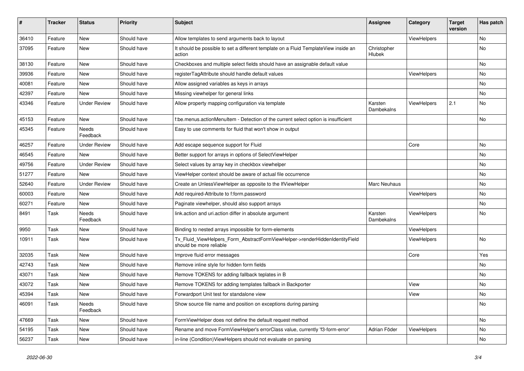| ∦     | <b>Tracker</b> | <b>Status</b>            | <b>Priority</b> | <b>Subject</b>                                                                                         | <b>Assignee</b>       | Category    | <b>Target</b><br>version | Has patch |
|-------|----------------|--------------------------|-----------------|--------------------------------------------------------------------------------------------------------|-----------------------|-------------|--------------------------|-----------|
| 36410 | Feature        | New                      | Should have     | Allow templates to send arguments back to layout                                                       |                       | ViewHelpers |                          | No        |
| 37095 | Feature        | New                      | Should have     | It should be possible to set a different template on a Fluid TemplateView inside an<br>action          | Christopher<br>Hlubek |             |                          | No        |
| 38130 | Feature        | New                      | Should have     | Checkboxes and multiple select fields should have an assignable default value                          |                       |             |                          | No        |
| 39936 | Feature        | New                      | Should have     | registerTagAttribute should handle default values                                                      |                       | ViewHelpers |                          | No        |
| 40081 | Feature        | New                      | Should have     | Allow assigned variables as keys in arrays                                                             |                       |             |                          | No.       |
| 42397 | Feature        | New                      | Should have     | Missing viewhelper for general links                                                                   |                       |             |                          | No        |
| 43346 | Feature        | <b>Under Review</b>      | Should have     | Allow property mapping configuration via template                                                      | Karsten<br>Dambekalns | ViewHelpers | 2.1                      | No        |
| 45153 | Feature        | New                      | Should have     | f:be.menus.actionMenuItem - Detection of the current select option is insufficient                     |                       |             |                          | No        |
| 45345 | Feature        | Needs<br>Feedback        | Should have     | Easy to use comments for fluid that won't show in output                                               |                       |             |                          |           |
| 46257 | Feature        | <b>Under Review</b>      | Should have     | Add escape sequence support for Fluid                                                                  |                       | Core        |                          | No.       |
| 46545 | Feature        | <b>New</b>               | Should have     | Better support for arrays in options of SelectViewHelper                                               |                       |             |                          | No        |
| 49756 | Feature        | <b>Under Review</b>      | Should have     | Select values by array key in checkbox viewhelper                                                      |                       |             |                          | No        |
| 51277 | Feature        | New                      | Should have     | ViewHelper context should be aware of actual file occurrence                                           |                       |             |                          | No        |
| 52640 | Feature        | <b>Under Review</b>      | Should have     | Create an UnlessViewHelper as opposite to the IfViewHelper                                             | <b>Marc Neuhaus</b>   |             |                          | No        |
| 60003 | Feature        | New                      | Should have     | Add required-Attribute to f:form.password                                                              |                       | ViewHelpers |                          | No        |
| 60271 | Feature        | New                      | Should have     | Paginate viewhelper, should also support arrays                                                        |                       |             |                          | No        |
| 8491  | Task           | <b>Needs</b><br>Feedback | Should have     | link.action and uri.action differ in absolute argument                                                 | Karsten<br>Dambekalns | ViewHelpers |                          | No        |
| 9950  | Task           | New                      | Should have     | Binding to nested arrays impossible for form-elements                                                  |                       | ViewHelpers |                          |           |
| 10911 | Task           | New                      | Should have     | Tx_Fluid_ViewHelpers_Form_AbstractFormViewHelper->renderHiddenIdentityField<br>should be more reliable |                       | ViewHelpers |                          | No        |
| 32035 | Task           | New                      | Should have     | Improve fluid error messages                                                                           |                       | Core        |                          | Yes       |
| 42743 | Task           | New                      | Should have     | Remove inline style for hidden form fields                                                             |                       |             |                          | No        |
| 43071 | Task           | New                      | Should have     | Remove TOKENS for adding fallback teplates in B                                                        |                       |             |                          | No        |
| 43072 | Task           | New                      | Should have     | Remove TOKENS for adding templates fallback in Backporter                                              |                       | View        |                          | No        |
| 45394 | Task           | New                      | Should have     | Forwardport Unit test for standalone view                                                              |                       | View        |                          | No        |
| 46091 | Task           | Needs<br>Feedback        | Should have     | Show source file name and position on exceptions during parsing                                        |                       |             |                          | No        |
| 47669 | Task           | New                      | Should have     | FormViewHelper does not define the default request method                                              |                       |             |                          | No        |
| 54195 | Task           | New                      | Should have     | Rename and move FormViewHelper's errorClass value, currently 'f3-form-error'                           | Adrian Föder          | ViewHelpers |                          | No        |
| 56237 | Task           | New                      | Should have     | in-line (Condition) View Helpers should not evaluate on parsing                                        |                       |             |                          | No        |